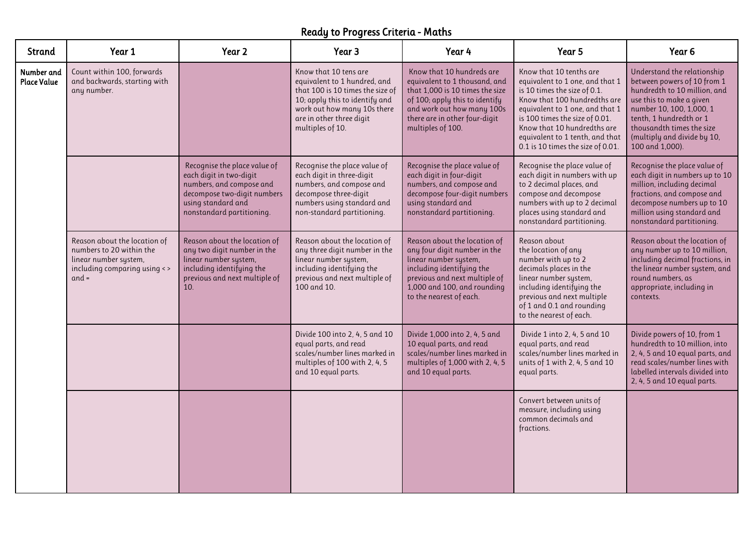## Ready to Progress Criteria - Maths

| Strand                           | Year 1                                                                                                                       | Year 2                                                                                                                                                                | Year 3                                                                                                                                                                                                     | Year 4                                                                                                                                                                                                              | Year 5                                                                                                                                                                                                                                                                                                 | Year 6                                                                                                                                                                                                                                                       |
|----------------------------------|------------------------------------------------------------------------------------------------------------------------------|-----------------------------------------------------------------------------------------------------------------------------------------------------------------------|------------------------------------------------------------------------------------------------------------------------------------------------------------------------------------------------------------|---------------------------------------------------------------------------------------------------------------------------------------------------------------------------------------------------------------------|--------------------------------------------------------------------------------------------------------------------------------------------------------------------------------------------------------------------------------------------------------------------------------------------------------|--------------------------------------------------------------------------------------------------------------------------------------------------------------------------------------------------------------------------------------------------------------|
| Number and<br><b>Place Value</b> | Count within 100, forwards<br>and backwards, starting with<br>any number.                                                    |                                                                                                                                                                       | Know that 10 tens are<br>equivalent to 1 hundred, and<br>that 100 is 10 times the size of<br>10; apply this to identify and<br>work out how many 10s there<br>are in other three digit<br>multiples of 10. | Know that 10 hundreds are<br>equivalent to 1 thousand, and<br>that 1,000 is 10 times the size<br>of 100; apply this to identify<br>and work out how many 100s<br>there are in other four-digit<br>multiples of 100. | Know that 10 tenths are<br>equivalent to 1 one, and that 1<br>is 10 times the size of 0.1.<br>Know that 100 hundredths are<br>equivalent to 1 one, and that 1<br>is 100 times the size of 0.01.<br>Know that 10 hundredths are<br>equivalent to 1 tenth, and that<br>0.1 is 10 times the size of 0.01. | Understand the relationship<br>between powers of 10 from 1<br>hundredth to 10 million, and<br>use this to make a given<br>number 10, 100, 1,000, 1<br>tenth, 1 hundredth or 1<br>thousandth times the size<br>(multiply and divide by 10,<br>100 and 1,000). |
|                                  |                                                                                                                              | Recognise the place value of<br>each digit in two-digit<br>numbers, and compose and<br>decompose two-digit numbers<br>using standard and<br>nonstandard partitioning. | Recognise the place value of<br>each digit in three-digit<br>numbers, and compose and<br>decompose three-digit<br>numbers using standard and<br>non-standard partitioning.                                 | Recognise the place value of<br>each digit in four-digit<br>numbers, and compose and<br>decompose four-digit numbers<br>using standard and<br>nonstandard partitioning.                                             | Recognise the place value of<br>each digit in numbers with up<br>to 2 decimal places, and<br>compose and decompose<br>numbers with up to 2 decimal<br>places using standard and<br>nonstandard partitioning.                                                                                           | Recognise the place value of<br>each digit in numbers up to 10<br>million, including decimal<br>fractions, and compose and<br>decompose numbers up to 10<br>million using standard and<br>nonstandard partitioning.                                          |
|                                  | Reason about the location of<br>numbers to 20 within the<br>linear number system,<br>including comparing using <><br>$and =$ | Reason about the location of<br>any two digit number in the<br>linear number system,<br>including identifying the<br>previous and next multiple of<br>10.             | Reason about the location of<br>any three digit number in the<br>linear number system,<br>including identifying the<br>previous and next multiple of<br>100 and 10.                                        | Reason about the location of<br>any four digit number in the<br>linear number system,<br>including identifying the<br>previous and next multiple of<br>1,000 and 100, and rounding<br>to the nearest of each.       | Reason about<br>the location of any<br>number with up to 2<br>decimals places in the<br>linear number system,<br>including identifying the<br>previous and next multiple<br>of 1 and 0.1 and rounding<br>to the nearest of each.                                                                       | Reason about the location of<br>any number up to 10 million,<br>including decimal fractions, in<br>the linear number system, and<br>round numbers, as<br>appropriate, including in<br>contexts.                                                              |
|                                  |                                                                                                                              |                                                                                                                                                                       | Divide 100 into 2, 4, 5 and 10<br>equal parts, and read<br>scales/number lines marked in<br>multiples of 100 with 2, 4, 5<br>and 10 equal parts.                                                           | Divide 1,000 into 2, 4, 5 and<br>10 equal parts, and read<br>scales/number lines marked in<br>multiples of 1,000 with 2, 4, 5<br>and 10 equal parts.                                                                | Divide 1 into 2, 4, 5 and 10<br>equal parts, and read<br>scales/number lines marked in<br>units of 1 with 2, 4, 5 and 10<br>equal parts.                                                                                                                                                               | Divide powers of 10, from 1<br>hundredth to 10 million, into<br>2, 4, 5 and 10 equal parts, and<br>read scales/number lines with<br>labelled intervals divided into<br>2, 4, 5 and 10 equal parts.                                                           |
|                                  |                                                                                                                              |                                                                                                                                                                       |                                                                                                                                                                                                            |                                                                                                                                                                                                                     | Convert between units of<br>measure, including using<br>common decimals and<br>fractions.                                                                                                                                                                                                              |                                                                                                                                                                                                                                                              |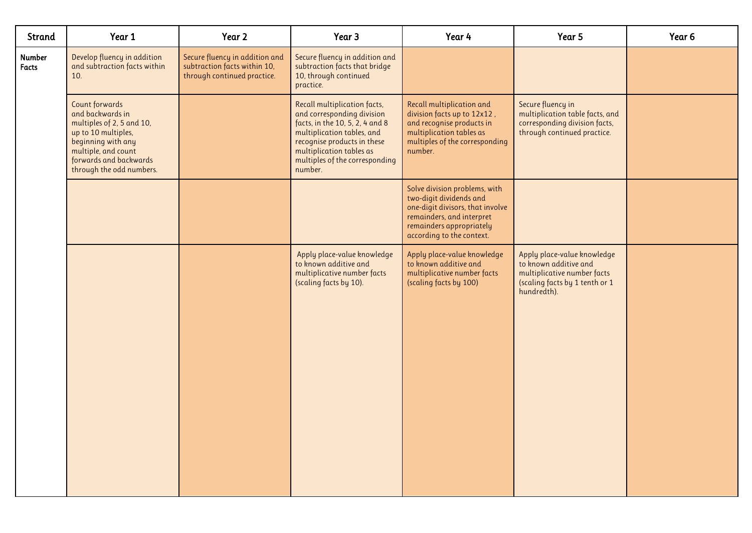| Strand                 | Year 1                                                                                                                                                                                           | Year 2                                                                                        | Year 3                                                                                                                                                                                                                              | Year 4                                                                                                                                                                             | Year 5                                                                                                                               | Year <sub>6</sub> |
|------------------------|--------------------------------------------------------------------------------------------------------------------------------------------------------------------------------------------------|-----------------------------------------------------------------------------------------------|-------------------------------------------------------------------------------------------------------------------------------------------------------------------------------------------------------------------------------------|------------------------------------------------------------------------------------------------------------------------------------------------------------------------------------|--------------------------------------------------------------------------------------------------------------------------------------|-------------------|
| Number<br><b>Facts</b> | Develop fluency in addition<br>and subtraction facts within<br>10.                                                                                                                               | Secure fluency in addition and<br>subtraction facts within 10,<br>through continued practice. | Secure fluency in addition and<br>subtraction facts that bridge<br>10, through continued<br>practice.                                                                                                                               |                                                                                                                                                                                    |                                                                                                                                      |                   |
|                        | <b>Count forwards</b><br>and backwards in<br>multiples of 2, 5 and 10,<br>up to 10 multiples,<br>beginning with any<br>multiple, and count<br>forwards and backwards<br>through the odd numbers. |                                                                                               | Recall multiplication facts,<br>and corresponding division<br>facts, in the 10, 5, 2, 4 and 8<br>multiplication tables, and<br>recognise products in these<br>multiplication tables as<br>multiples of the corresponding<br>number. | Recall multiplication and<br>division facts up to 12x12,<br>and recognise products in<br>multiplication tables as<br>multiples of the corresponding<br>number.                     | Secure fluency in<br>multiplication table facts, and<br>corresponding division facts,<br>through continued practice.                 |                   |
|                        |                                                                                                                                                                                                  |                                                                                               |                                                                                                                                                                                                                                     | Solve division problems, with<br>two-digit dividends and<br>one-digit divisors, that involve<br>remainders, and interpret<br>remainders appropriately<br>according to the context. |                                                                                                                                      |                   |
|                        |                                                                                                                                                                                                  |                                                                                               | Apply place-value knowledge<br>to known additive and<br>multiplicative number facts<br>(scaling facts by 10).                                                                                                                       | Apply place-value knowledge<br>to known additive and<br>multiplicative number facts<br>(scaling facts by 100)                                                                      | Apply place-value knowledge<br>to known additive and<br>multiplicative number facts<br>(scaling facts by 1 tenth or 1<br>hundredth). |                   |
|                        |                                                                                                                                                                                                  |                                                                                               |                                                                                                                                                                                                                                     |                                                                                                                                                                                    |                                                                                                                                      |                   |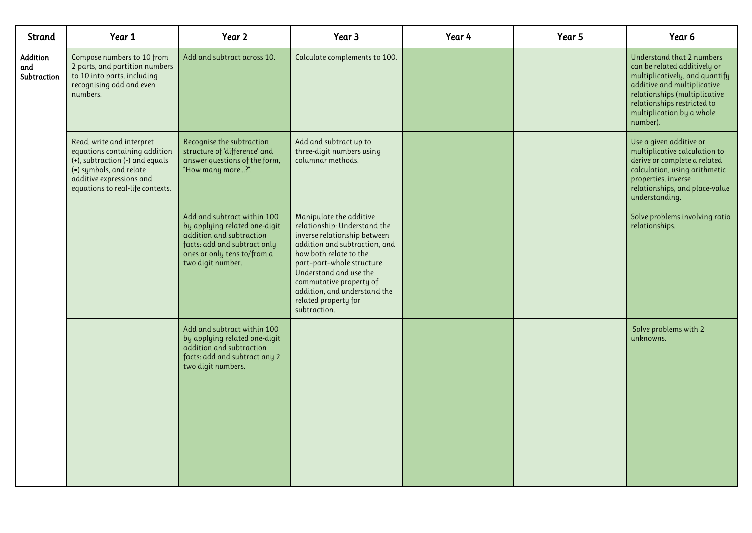| Strand                         | Year 1                                                                                                                                                                                   | Year 2                                                                                                                                                                       | Year 3                                                                                                                                                                                                                                                                                                        | Year 4 | Year 5 | Year 6                                                                                                                                                                                                                              |
|--------------------------------|------------------------------------------------------------------------------------------------------------------------------------------------------------------------------------------|------------------------------------------------------------------------------------------------------------------------------------------------------------------------------|---------------------------------------------------------------------------------------------------------------------------------------------------------------------------------------------------------------------------------------------------------------------------------------------------------------|--------|--------|-------------------------------------------------------------------------------------------------------------------------------------------------------------------------------------------------------------------------------------|
| Addition<br>and<br>Subtraction | Compose numbers to 10 from<br>2 parts, and partition numbers<br>to 10 into parts, including<br>recognising odd and even<br>numbers.                                                      | Add and subtract across 10.                                                                                                                                                  | Calculate complements to 100.                                                                                                                                                                                                                                                                                 |        |        | Understand that 2 numbers<br>can be related additively or<br>multiplicatively, and quantify<br>additive and multiplicative<br>relationships (multiplicative<br>relationships restricted to<br>multiplication by a whole<br>number). |
|                                | Read, write and interpret<br>equations containing addition<br>(+), subtraction (-) and equals<br>(=) symbols, and relate<br>additive expressions and<br>equations to real-life contexts. | Recognise the subtraction<br>structure of 'difference' and<br>answer questions of the form,<br>"How many more?".                                                             | Add and subtract up to<br>three-digit numbers using<br>columnar methods.                                                                                                                                                                                                                                      |        |        | Use a given additive or<br>multiplicative calculation to<br>derive or complete a related<br>calculation, using arithmetic<br>properties, inverse<br>relationships, and place-value<br>understanding.                                |
|                                |                                                                                                                                                                                          | Add and subtract within 100<br>by applying related one-digit<br>addition and subtraction<br>facts: add and subtract only<br>ones or only tens to/from a<br>two digit number. | Manipulate the additive<br>relationship: Understand the<br>inverse relationship between<br>addition and subtraction, and<br>how both relate to the<br>part-part-whole structure.<br>Understand and use the<br>commutative property of<br>addition, and understand the<br>related property for<br>subtraction. |        |        | Solve problems involving ratio<br>relationships.                                                                                                                                                                                    |
|                                |                                                                                                                                                                                          | Add and subtract within 100<br>by applying related one-digit<br>addition and subtraction<br>facts: add and subtract any 2<br>two digit numbers.                              |                                                                                                                                                                                                                                                                                                               |        |        | Solve problems with 2<br>unknowns.                                                                                                                                                                                                  |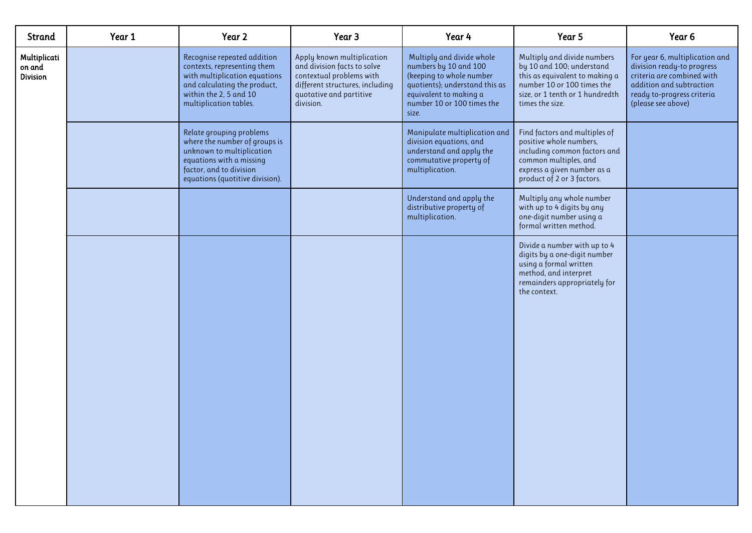| Year 1 | Year 2                                                                                                                                                                           | Year 3                                                                                                                                                           | Year 4                                                                                                                                                                            | Year 5                                                                                                                                                                         | Year <sub>6</sub>                                                                                                                                                          |
|--------|----------------------------------------------------------------------------------------------------------------------------------------------------------------------------------|------------------------------------------------------------------------------------------------------------------------------------------------------------------|-----------------------------------------------------------------------------------------------------------------------------------------------------------------------------------|--------------------------------------------------------------------------------------------------------------------------------------------------------------------------------|----------------------------------------------------------------------------------------------------------------------------------------------------------------------------|
|        | Recognise repeated addition<br>contexts, representing them<br>with multiplication equations<br>and calculating the product,<br>within the 2, 5 and 10<br>multiplication tables.  | Apply known multiplication<br>and division facts to solve<br>contextual problems with<br>different structures, including<br>quotative and partitive<br>division. | Multiply and divide whole<br>numbers by 10 and 100<br>(keeping to whole number<br>quotients); understand this as<br>equivalent to making a<br>number 10 or 100 times the<br>size. | Multiply and divide numbers<br>by 10 and 100; understand<br>this as equivalent to making a<br>number 10 or 100 times the<br>size, or 1 tenth or 1 hundredth<br>times the size. | For year 6, multiplication and<br>division ready-to progress<br>criteria are combined with<br>addition and subtraction<br>ready to-progress criteria<br>(please see above) |
|        | Relate grouping problems<br>where the number of groups is<br>unknown to multiplication<br>equations with a missing<br>factor, and to division<br>equations (quotitive division). |                                                                                                                                                                  | Manipulate multiplication and<br>division equations, and<br>understand and apply the<br>commutative property of<br>multiplication.                                                | Find factors and multiples of<br>positive whole numbers,<br>including common factors and<br>common multiples, and<br>express a given number as a<br>product of 2 or 3 factors. |                                                                                                                                                                            |
|        |                                                                                                                                                                                  |                                                                                                                                                                  | Understand and apply the<br>distributive property of<br>multiplication.                                                                                                           | Multiply any whole number<br>with up to 4 digits by any<br>one-digit number using a<br>formal written method.                                                                  |                                                                                                                                                                            |
|        |                                                                                                                                                                                  |                                                                                                                                                                  |                                                                                                                                                                                   | Divide a number with up to 4<br>digits by a one-digit number<br>using a formal written<br>method, and interpret<br>remainders appropriately for<br>the context.                |                                                                                                                                                                            |
|        |                                                                                                                                                                                  |                                                                                                                                                                  |                                                                                                                                                                                   |                                                                                                                                                                                |                                                                                                                                                                            |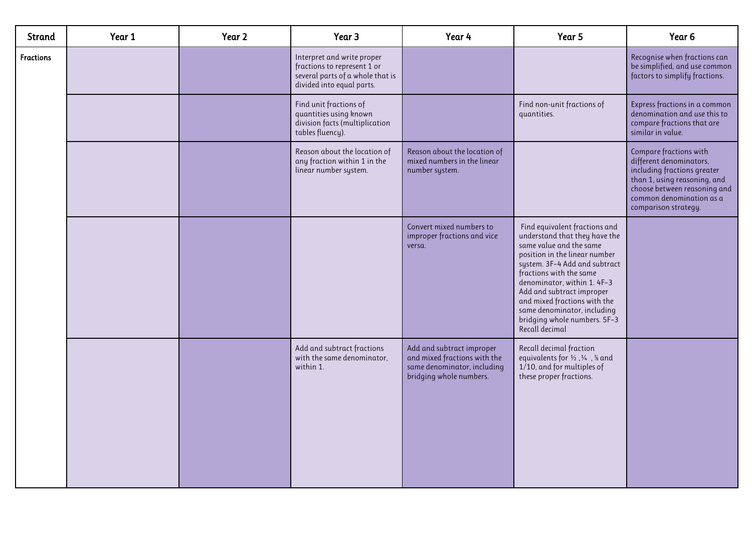| Strand           | Year 1 | Year 2 | Year 3                                                                                                                     | Year 4                                                                                                              | Year 5                                                                                                                                                                                                                                                                                                                                                             | Year <sub>6</sub>                                                                                                                                                                                    |
|------------------|--------|--------|----------------------------------------------------------------------------------------------------------------------------|---------------------------------------------------------------------------------------------------------------------|--------------------------------------------------------------------------------------------------------------------------------------------------------------------------------------------------------------------------------------------------------------------------------------------------------------------------------------------------------------------|------------------------------------------------------------------------------------------------------------------------------------------------------------------------------------------------------|
| <b>Fractions</b> |        |        | Interpret and write proper<br>fractions to represent 1 or<br>several parts of a whole that is<br>divided into equal parts. |                                                                                                                     |                                                                                                                                                                                                                                                                                                                                                                    | Recognise when fractions can<br>be simplified, and use common<br>factors to simplify fractions.                                                                                                      |
|                  |        |        | Find unit fractions of<br>quantities using known<br>division facts (multiplication<br>tables fluency).                     |                                                                                                                     | Find non-unit fractions of<br>quantities.                                                                                                                                                                                                                                                                                                                          | Express fractions in a common<br>denomination and use this to<br>compare fractions that are<br>similar in value.                                                                                     |
|                  |        |        | Reason about the location of<br>any fraction within 1 in the<br>linear number system.                                      | Reason about the location of<br>mixed numbers in the linear<br>number system.                                       |                                                                                                                                                                                                                                                                                                                                                                    | Compare fractions with<br>different denominators,<br>including fractions greater<br>than 1, using reasoning, and<br>choose between reasoning and<br>common denomination as a<br>comparison strategy. |
|                  |        |        |                                                                                                                            | Convert mixed numbers to<br>improper fractions and vice<br>versa.                                                   | Find equivalent fractions and<br>understand that they have the<br>same value and the same<br>position in the linear number<br>system. 3F-4 Add and subtract<br>fractions with the same<br>denominator, within 1.4F-3<br>Add and subtract improper<br>and mixed fractions with the<br>same denominator, including<br>bridging whole numbers. 5F-3<br>Recall decimal |                                                                                                                                                                                                      |
|                  |        |        | Add and subtract fractions<br>with the same denominator,<br>within 1.                                                      | Add and subtract improper<br>and mixed fractions with the<br>same denominator, including<br>bridging whole numbers. | Recall decimal fraction<br>equivalents for $\frac{1}{2}$ , $\frac{1}{4}$ , $\frac{1}{8}$ and<br>1/10, and for multiples of<br>these proper fractions.                                                                                                                                                                                                              |                                                                                                                                                                                                      |